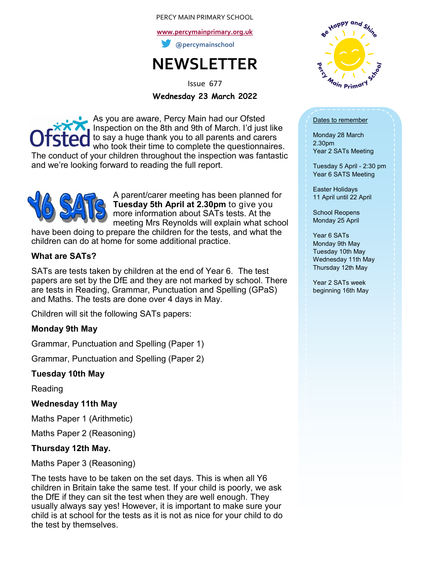#### PERCY MAIN PRIMARY SCHOOL

**[www.percymainprimary.org.uk](http://www.percymainprimary.org.uk)**

**@percymainschool**

# **NEWSLETTER**

Issue 677

**Wednesday 23 March 2022**

As you are aware, Percy Main had our Ofsted Inspection on the 8th and 9th of March. I'd just like to say a huge thank you to all parents and carers who took their time to complete the questionnaires. The conduct of your children throughout the inspection was fantastic and we're looking forward to reading the full report.



A parent/carer meeting has been planned for **Tuesday 5th April at 2.30pm** to give you more information about SATs tests. At the meeting Mrs Reynolds will explain what school

have been doing to prepare the children for the tests, and what the children can do at home for some additional practice.

#### **What are SATs?**

SATs are tests taken by children at the end of Year 6. The test papers are set by the DfE and they are not marked by school. There are tests in Reading, Grammar, Punctuation and Spelling (GPaS) and Maths. The tests are done over 4 days in May.

Children will sit the following SATs papers:

## **Monday 9th May**

Grammar, Punctuation and Spelling (Paper 1)

Grammar, Punctuation and Spelling (Paper 2)

## **Tuesday 10th May**

Reading

#### **Wednesday 11th May**

Maths Paper 1 (Arithmetic)

Maths Paper 2 (Reasoning)

## **Thursday 12th May.**

Maths Paper 3 (Reasoning)

The tests have to be taken on the set days. This is when all Y6 children in Britain take the same test. If your child is poorly, we ask the DfE if they can sit the test when they are well enough. They usually always say yes! However, it is important to make sure your child is at school for the tests as it is not as nice for your child to do the test by themselves.



#### Dates to remember

Monday 28 March 2.30pm Year 2 SATs Meeting

Tuesday 5 April - 2:30 pm Year 6 SATS Meeting

Easter Holidays 11 April until 22 April

School Reopens Monday 25 April

Year 6 SATs Monday 9th May Tuesday 10th May Wednesday 11th May Thursday 12th May

Year 2 SATs week beginning 16th May